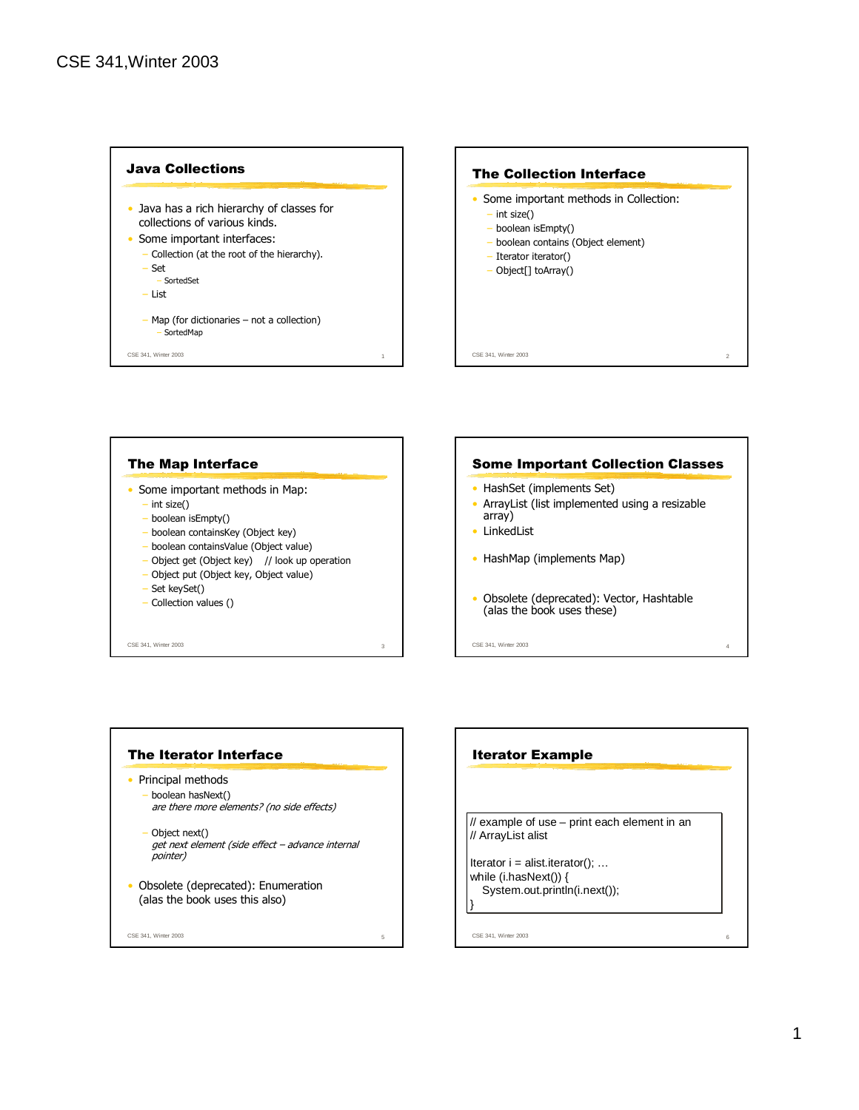